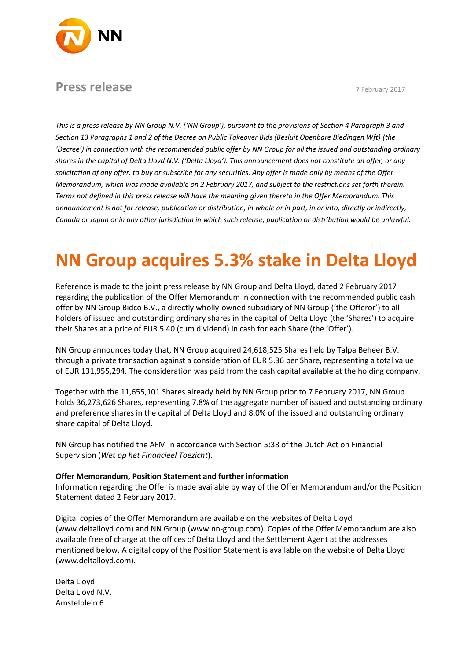

# **Press release** 7 February 2017

*This is a press release by NN Group N.V. ('NN Group'), pursuant to the provisions of Section 4 Paragraph 3 and Section 13 Paragraphs 1 and 2 of the Decree on Public Takeover Bids (Besluit Openbare Biedingen Wft) (the 'Decree') in connection with the recommended public offer by NN Group for all the issued and outstanding ordinary shares in the capital of Delta Lloyd N.V. ('Delta Lloyd'). This announcement does not constitute an offer, or any solicitation of any offer, to buy or subscribe for any securities. Any offer is made only by means of the Offer Memorandum, which was made available on 2 February 2017, and subject to the restrictions set forth therein. Terms not defined in this press release will have the meaning given thereto in the Offer Memorandum. This announcement is not for release, publication or distribution, in whole or in part, in or into, directly or indirectly, Canada or Japan or in any other jurisdiction in which such release, publication or distribution would be unlawful.*

# **NN Group acquires 5.3% stake in Delta Lloyd**

Reference is made to the joint press release by NN Group and Delta Lloyd, dated 2 February 2017 regarding the publication of the Offer Memorandum in connection with the recommended public cash offer by NN Group Bidco B.V., a directly wholly-owned subsidiary of NN Group ('the Offeror') to all holders of issued and outstanding ordinary shares in the capital of Delta Lloyd (the 'Shares') to acquire their Shares at a price of EUR 5.40 (cum dividend) in cash for each Share (the 'Offer').

NN Group announces today that, NN Group acquired 24,618,525 Shares held by Talpa Beheer B.V. through a private transaction against a consideration of EUR 5.36 per Share, representing a total value of EUR 131,955,294. The consideration was paid from the cash capital available at the holding company.

Together with the 11,655,101 Shares already held by NN Group prior to 7 February 2017, NN Group holds 36,273,626 Shares, representing 7.8% of the aggregate number of issued and outstanding ordinary and preference shares in the capital of Delta Lloyd and 8.0% of the issued and outstanding ordinary share capital of Delta Lloyd.

NN Group has notified the AFM in accordance with Section 5:38 of the Dutch Act on Financial Supervision (*Wet op het Financieel Toezicht*).

## **Offer Memorandum, Position Statement and further information**

Information regarding the Offer is made available by way of the Offer Memorandum and/or the Position Statement dated 2 February 2017.

Digital copies of the Offer Memorandum are available on the websites of Delta Lloyd (www.deltalloyd.com) and NN Group (www.nn-group.com). Copies of the Offer Memorandum are also available free of charge at the offices of Delta Lloyd and the Settlement Agent at the addresses mentioned below. A digital copy of the Position Statement is available on the website of Delta Lloyd (www.deltalloyd.com).

Delta Lloyd Delta Lloyd N.V. Amstelplein 6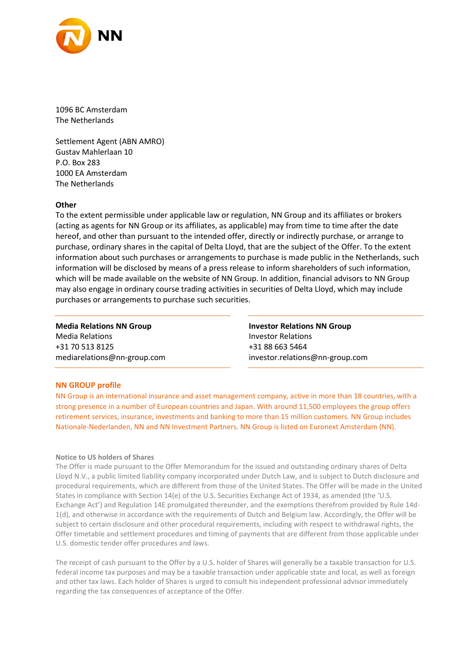

1096 BC Amsterdam The Netherlands

Settlement Agent (ABN AMRO) Gustav Mahlerlaan 10 P.O. Box 283 1000 EA Amsterdam The Netherlands

### **Other**

To the extent permissible under applicable law or regulation, NN Group and its affiliates or brokers (acting as agents for NN Group or its affiliates, as applicable) may from time to time after the date hereof, and other than pursuant to the intended offer, directly or indirectly purchase, or arrange to purchase, ordinary shares in the capital of Delta Lloyd, that are the subject of the Offer. To the extent information about such purchases or arrangements to purchase is made public in the Netherlands, such information will be disclosed by means of a press release to inform shareholders of such information, which will be made available on the website of NN Group. In addition, financial advisors to NN Group may also engage in ordinary course trading activities in securities of Delta Lloyd, which may include purchases or arrangements to purchase such securities.

**Media Relations NN Group** Media Relations +31 70 513 8125 mediarelations@nn-group.com **Investor Relations NN Group** Investor Relations +31 88 663 5464 investor.relations@nn-group.com

### **NN GROUP profile**

NN Group is an international insurance and asset management company, active in more than 18 countries, with a strong presence in a number of European countries and Japan. With around 11,500 employees the group offers retirement services, insurance, investments and banking to more than 15 million customers. NN Group includes Nationale-Nederlanden, NN and NN Investment Partners. NN Group is listed on Euronext Amsterdam (NN).

### **Notice to US holders of Shares**

The Offer is made pursuant to the Offer Memorandum for the issued and outstanding ordinary shares of Delta Lloyd N.V., a public limited liability company incorporated under Dutch Law, and is subject to Dutch disclosure and procedural requirements, which are different from those of the United States. The Offer will be made in the United States in compliance with Section 14(e) of the U.S. Securities Exchange Act of 1934, as amended (the 'U.S. Exchange Act') and Regulation 14E promulgated thereunder, and the exemptions therefrom provided by Rule 14d-1(d), and otherwise in accordance with the requirements of Dutch and Belgium law. Accordingly, the Offer will be subject to certain disclosure and other procedural requirements, including with respect to withdrawal rights, the Offer timetable and settlement procedures and timing of payments that are different from those applicable under U.S. domestic tender offer procedures and laws.

The receipt of cash pursuant to the Offer by a U.S. holder of Shares will generally be a taxable transaction for U.S. federal income tax purposes and may be a taxable transaction under applicable state and local, as well as foreign and other tax laws. Each holder of Shares is urged to consult his independent professional advisor immediately regarding the tax consequences of acceptance of the Offer.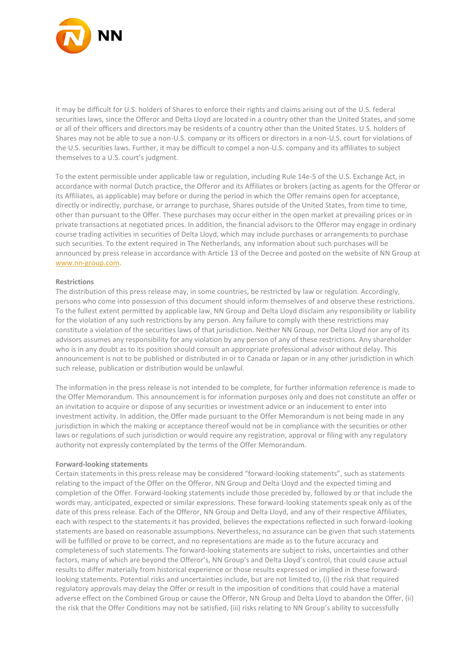

It may be difficult for U.S. holders of Shares to enforce their rights and claims arising out of the U.S. federal securities laws, since the Offeror and Delta Lloyd are located in a country other than the United States, and some or all of their officers and directors may be residents of a country other than the United States. U.S. holders of Shares may not be able to sue a non-U.S. company or its officers or directors in a non-U.S. court for violations of the U.S. securities laws. Further, it may be difficult to compel a non-U.S. company and its affiliates to subject themselves to a U.S. court's judgment.

To the extent permissible under applicable law or regulation, including Rule 14e-5 of the U.S. Exchange Act, in accordance with normal Dutch practice, the Offeror and its Affiliates or brokers (acting as agents for the Offeror or its Affiliates, as applicable) may before or during the period in which the Offer remains open for acceptance, directly or indirectly, purchase, or arrange to purchase, Shares outside of the United States, from time to time, other than pursuant to the Offer. These purchases may occur either in the open market at prevailing prices or in private transactions at negotiated prices. In addition, the financial advisors to the Offeror may engage in ordinary course trading activities in securities of Delta Lloyd, which may include purchases or arrangements to purchase such securities. To the extent required in The Netherlands, any information about such purchases will be announced by press release in accordance with Article 13 of the Decree and posted on the website of NN Group at [www.nn-group.com.](http://www.nn-group.com/)

#### **Restrictions**

The distribution of this press release may, in some countries, be restricted by law or regulation. Accordingly, persons who come into possession of this document should inform themselves of and observe these restrictions. To the fullest extent permitted by applicable law, NN Group and Delta Lloyd disclaim any responsibility or liability for the violation of any such restrictions by any person. Any failure to comply with these restrictions may constitute a violation of the securities laws of that jurisdiction. Neither NN Group, nor Delta Lloyd nor any of its advisors assumes any responsibility for any violation by any person of any of these restrictions. Any shareholder who is in any doubt as to its position should consult an appropriate professional advisor without delay. This announcement is not to be published or distributed in or to Canada or Japan or in any other jurisdiction in which such release, publication or distribution would be unlawful.

The information in the press release is not intended to be complete, for further information reference is made to the Offer Memorandum. This announcement is for information purposes only and does not constitute an offer or an invitation to acquire or dispose of any securities or investment advice or an inducement to enter into investment activity. In addition, the Offer made pursuant to the Offer Memorandum is not being made in any jurisdiction in which the making or acceptance thereof would not be in compliance with the securities or other laws or regulations of such jurisdiction or would require any registration, approval or filing with any regulatory authority not expressly contemplated by the terms of the Offer Memorandum.

#### **Forward-looking statements**

Certain statements in this press release may be considered "forward-looking statements", such as statements relating to the impact of the Offer on the Offeror, NN Group and Delta Lloyd and the expected timing and completion of the Offer. Forward-looking statements include those preceded by, followed by or that include the words may, anticipated, expected or similar expressions. These forward-looking statements speak only as of the date of this press release. Each of the Offeror, NN Group and Delta Lloyd, and any of their respective Affiliates, each with respect to the statements it has provided, believes the expectations reflected in such forward-looking statements are based on reasonable assumptions. Nevertheless, no assurance can be given that such statements will be fulfilled or prove to be correct, and no representations are made as to the future accuracy and completeness of such statements. The forward-looking statements are subject to risks, uncertainties and other factors, many of which are beyond the Offeror's, NN Group's and Delta Lloyd's control, that could cause actual results to differ materially from historical experience or those results expressed or implied in these forwardlooking statements. Potential risks and uncertainties include, but are not limited to, (i) the risk that required regulatory approvals may delay the Offer or result in the imposition of conditions that could have a material adverse effect on the Combined Group or cause the Offeror, NN Group and Delta Lloyd to abandon the Offer, (ii) the risk that the Offer Conditions may not be satisfied, (iii) risks relating to NN Group's ability to successfully